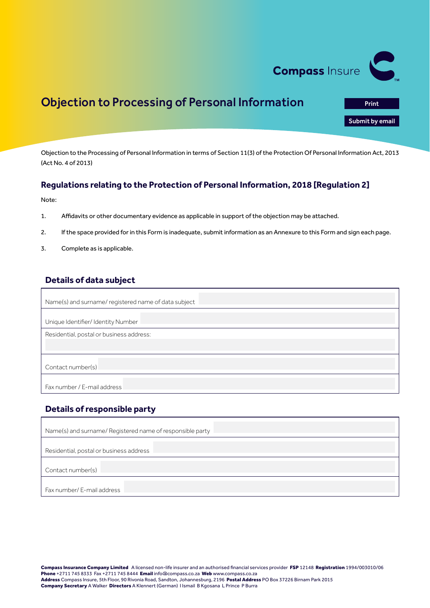

Print<br>**Submit by email**<br>Print by email

# Objection to Processing of Personal Information

Objection to the Processing of Personal Information in terms of Section 11(3) of the Protection Of Personal Information Act, 2013 (Act No. 4 of 2013)

#### **Regulations relating to the Protection of Personal Information, 2018 [Regulation 2]**

Note:

- 1. Affidavits or other documentary evidence as applicable in support of the objection may be attached.
- 2. If the space provided for in this Form is inadequate, submit information as an Annexure to this Form and sign each page.
- 3. Complete as is applicable.

### **Details of data subject**

| Name(s) and surname/registered name of data subject |
|-----------------------------------------------------|
| Unique Identifier/ Identity Number                  |
| Residential, postal or business address:            |
|                                                     |
| Contact number(s)                                   |
| Fax number / E-mail address                         |

### **Details of responsible party**

| Name(s) and surname/ Registered name of responsible party |
|-----------------------------------------------------------|
| Residential, postal or business address                   |
| Contact number(s)                                         |
| Fax number/ E-mail address                                |